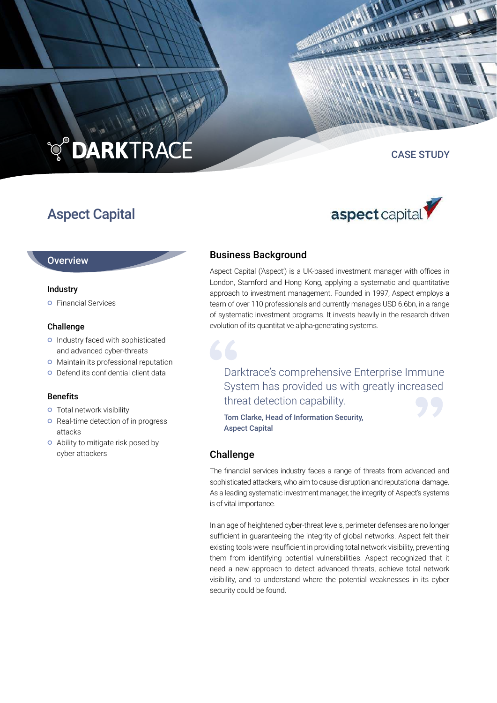# **TO DARKTRACE**

## Aspect Capital

#### CASE STUDY



#### **Overview**

#### Industry

**o** Financial Services

#### Challenge

- o Industry faced with sophisticated and advanced cyber-threats
- **o** Maintain its professional reputation
- Defend its confidential client data

#### **Benefits**

- **o** Total network visibility
- **o** Real-time detection of in progress attacks
- Ability to mitigate risk posed by cyber attackers

#### Business Background

Aspect Capital ('Aspect') is a UK-based investment manager with offices in London, Stamford and Hong Kong, applying a systematic and quantitative approach to investment management. Founded in 1997, Aspect employs a team of over 110 professionals and currently manages USD 6.6bn, in a range of systematic investment programs. It invests heavily in the research driven evolution of its quantitative alpha-generating systems.

### Darktrace's comprehensive Enterprise Immune System has provided us with greatly increased threat detection capability.

Tom Clarke, Head of Information Security, Aspect Capital

#### Challenge

The financial services industry faces a range of threats from advanced and sophisticated attackers, who aim to cause disruption and reputational damage. As a leading systematic investment manager, the integrity of Aspect's systems is of vital importance.

In an age of heightened cyber-threat levels, perimeter defenses are no longer sufficient in guaranteeing the integrity of global networks. Aspect felt their existing tools were insufficient in providing total network visibility, preventing them from identifying potential vulnerabilities. Aspect recognized that it need a new approach to detect advanced threats, achieve total network visibility, and to understand where the potential weaknesses in its cyber security could be found.